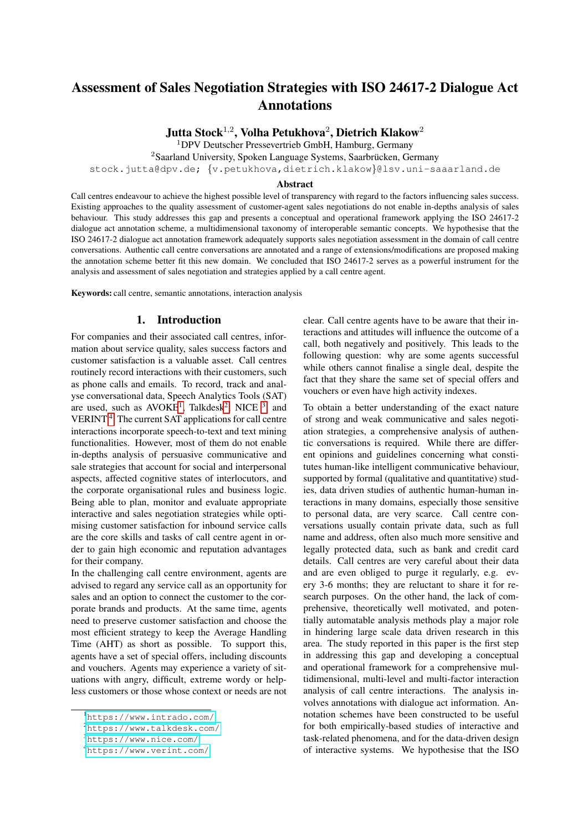# Assessment of Sales Negotiation Strategies with ISO 24617-2 Dialogue Act Annotations

Jutta Stock<sup>1,2</sup>, Volha Petukhova<sup>2</sup>, Dietrich Klakow<sup>2</sup>

<sup>1</sup>DPV Deutscher Pressevertrieb GmbH, Hamburg, Germany

 $2$ Saarland University, Spoken Language Systems, Saarbrücken, Germany

stock.jutta@dpv.de; {v.petukhova,dietrich.klakow}@lsv.uni-saaarland.de

#### Abstract

Call centres endeavour to achieve the highest possible level of transparency with regard to the factors influencing sales success. Existing approaches to the quality assessment of customer-agent sales negotiations do not enable in-depths analysis of sales behaviour. This study addresses this gap and presents a conceptual and operational framework applying the ISO 24617-2 dialogue act annotation scheme, a multidimensional taxonomy of interoperable semantic concepts. We hypothesise that the ISO 24617-2 dialogue act annotation framework adequately supports sales negotiation assessment in the domain of call centre conversations. Authentic call centre conversations are annotated and a range of extensions/modifications are proposed making the annotation scheme better fit this new domain. We concluded that ISO 24617-2 serves as a powerful instrument for the analysis and assessment of sales negotiation and strategies applied by a call centre agent.

Keywords: call centre, semantic annotations, interaction analysis

# 1. Introduction

For companies and their associated call centres, information about service quality, sales success factors and customer satisfaction is a valuable asset. Call centres routinely record interactions with their customers, such as phone calls and emails. To record, track and analyse conversational data, Speech Analytics Tools (SAT) are used, such as  $AVOKE<sup>1</sup>$  $AVOKE<sup>1</sup>$  $AVOKE<sup>1</sup>$ , Talkdesk<sup>[2](#page-0-1)</sup>, NICE <sup>[3](#page-0-2)</sup>, and VERINT<sup>[4](#page-0-3)</sup>. The current SAT applications for call centre interactions incorporate speech-to-text and text mining functionalities. However, most of them do not enable in-depths analysis of persuasive communicative and sale strategies that account for social and interpersonal aspects, affected cognitive states of interlocutors, and the corporate organisational rules and business logic. Being able to plan, monitor and evaluate appropriate interactive and sales negotiation strategies while optimising customer satisfaction for inbound service calls are the core skills and tasks of call centre agent in order to gain high economic and reputation advantages for their company.

In the challenging call centre environment, agents are advised to regard any service call as an opportunity for sales and an option to connect the customer to the corporate brands and products. At the same time, agents need to preserve customer satisfaction and choose the most efficient strategy to keep the Average Handling Time (AHT) as short as possible. To support this, agents have a set of special offers, including discounts and vouchers. Agents may experience a variety of situations with angry, difficult, extreme wordy or helpless customers or those whose context or needs are not clear. Call centre agents have to be aware that their interactions and attitudes will influence the outcome of a call, both negatively and positively. This leads to the following question: why are some agents successful while others cannot finalise a single deal, despite the fact that they share the same set of special offers and vouchers or even have high activity indexes.

To obtain a better understanding of the exact nature of strong and weak communicative and sales negotiation strategies, a comprehensive analysis of authentic conversations is required. While there are different opinions and guidelines concerning what constitutes human-like intelligent communicative behaviour, supported by formal (qualitative and quantitative) studies, data driven studies of authentic human-human interactions in many domains, especially those sensitive to personal data, are very scarce. Call centre conversations usually contain private data, such as full name and address, often also much more sensitive and legally protected data, such as bank and credit card details. Call centres are very careful about their data and are even obliged to purge it regularly, e.g. every 3-6 months; they are reluctant to share it for research purposes. On the other hand, the lack of comprehensive, theoretically well motivated, and potentially automatable analysis methods play a major role in hindering large scale data driven research in this area. The study reported in this paper is the first step in addressing this gap and developing a conceptual and operational framework for a comprehensive multidimensional, multi-level and multi-factor interaction analysis of call centre interactions. The analysis involves annotations with dialogue act information. Annotation schemes have been constructed to be useful for both empirically-based studies of interactive and task-related phenomena, and for the data-driven design of interactive systems. We hypothesise that the ISO

<span id="page-0-0"></span><sup>1</sup><https://www.intrado.com/>

<span id="page-0-1"></span><sup>2</sup><https://www.talkdesk.com/>

<span id="page-0-2"></span><sup>3</sup><https://www.nice.com/>

<span id="page-0-3"></span><sup>4</sup><https://www.verint.com/>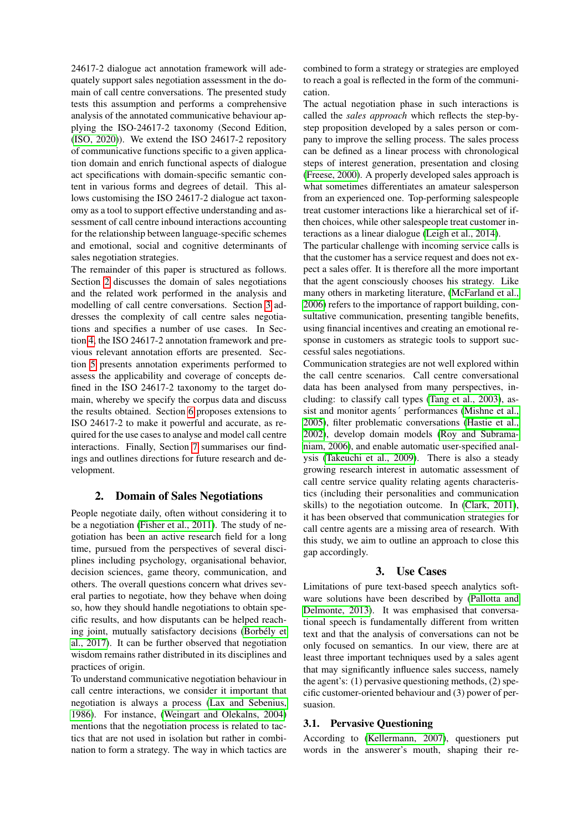24617-2 dialogue act annotation framework will adequately support sales negotiation assessment in the domain of call centre conversations. The presented study tests this assumption and performs a comprehensive analysis of the annotated communicative behaviour applying the ISO-24617-2 taxonomy (Second Edition, [\(ISO, 2020\)](#page-8-0)). We extend the ISO 24617-2 repository of communicative functions specific to a given application domain and enrich functional aspects of dialogue act specifications with domain-specific semantic content in various forms and degrees of detail. This allows customising the ISO 24617-2 dialogue act taxonomy as a tool to support effective understanding and assessment of call centre inbound interactions accounting for the relationship between language-specific schemes and emotional, social and cognitive determinants of sales negotiation strategies.

The remainder of this paper is structured as follows. Section [2](#page-1-0) discusses the domain of sales negotiations and the related work performed in the analysis and modelling of call centre conversations. Section [3](#page-1-1) addresses the complexity of call centre sales negotiations and specifies a number of use cases. In Section [4,](#page-2-0) the ISO 24617-2 annotation framework and previous relevant annotation efforts are presented. Section [5](#page-3-0) presents annotation experiments performed to assess the applicability and coverage of concepts defined in the ISO 24617-2 taxonomy to the target domain, whereby we specify the corpus data and discuss the results obtained. Section [6](#page-4-0) proposes extensions to ISO 24617-2 to make it powerful and accurate, as required for the use cases to analyse and model call centre interactions. Finally, Section [7](#page-6-0) summarises our findings and outlines directions for future research and development.

#### 2. Domain of Sales Negotiations

<span id="page-1-0"></span>People negotiate daily, often without considering it to be a negotiation [\(Fisher et al., 2011\)](#page-7-0). The study of negotiation has been an active research field for a long time, pursued from the perspectives of several disciplines including psychology, organisational behavior, decision sciences, game theory, communication, and others. The overall questions concern what drives several parties to negotiate, how they behave when doing so, how they should handle negotiations to obtain specific results, and how disputants can be helped reaching joint, mutually satisfactory decisions [\(Borbely et](#page-7-1) ´ [al., 2017\)](#page-7-1). It can be further observed that negotiation wisdom remains rather distributed in its disciplines and practices of origin.

To understand communicative negotiation behaviour in call centre interactions, we consider it important that negotiation is always a process [\(Lax and Sebenius,](#page-8-1) [1986\)](#page-8-1). For instance, [\(Weingart and Olekalns, 2004\)](#page-9-0) mentions that the negotiation process is related to tactics that are not used in isolation but rather in combination to form a strategy. The way in which tactics are

combined to form a strategy or strategies are employed to reach a goal is reflected in the form of the communication.

The actual negotiation phase in such interactions is called the *sales approach* which reflects the step-bystep proposition developed by a sales person or company to improve the selling process. The sales process can be defined as a linear process with chronological steps of interest generation, presentation and closing [\(Freese, 2000\)](#page-7-2). A properly developed sales approach is what sometimes differentiates an amateur salesperson from an experienced one. Top-performing salespeople treat customer interactions like a hierarchical set of ifthen choices, while other salespeople treat customer interactions as a linear dialogue [\(Leigh et al., 2014\)](#page-8-2).

The particular challenge with incoming service calls is that the customer has a service request and does not expect a sales offer. It is therefore all the more important that the agent consciously chooses his strategy. Like many others in marketing literature, [\(McFarland et al.,](#page-8-3) [2006\)](#page-8-3) refers to the importance of rapport building, consultative communication, presenting tangible benefits, using financial incentives and creating an emotional response in customers as strategic tools to support successful sales negotiations.

Communication strategies are not well explored within the call centre scenarios. Call centre conversational data has been analysed from many perspectives, including: to classify call types [\(Tang et al., 2003\)](#page-9-1), assist and monitor agents´ performances [\(Mishne et al.,](#page-8-4) [2005\)](#page-8-4), filter problematic conversations [\(Hastie et al.,](#page-8-5) [2002\)](#page-8-5), develop domain models [\(Roy and Subrama](#page-8-6)[niam, 2006\)](#page-8-6), and enable automatic user-specified analysis [\(Takeuchi et al., 2009\)](#page-9-2). There is also a steady growing research interest in automatic assessment of call centre service quality relating agents characteristics (including their personalities and communication skills) to the negotiation outcome. In [\(Clark, 2011\)](#page-7-3), it has been observed that communication strategies for call centre agents are a missing area of research. With this study, we aim to outline an approach to close this gap accordingly.

# 3. Use Cases

<span id="page-1-1"></span>Limitations of pure text-based speech analytics software solutions have been described by [\(Pallotta and](#page-8-7) [Delmonte, 2013\)](#page-8-7). It was emphasised that conversational speech is fundamentally different from written text and that the analysis of conversations can not be only focused on semantics. In our view, there are at least three important techniques used by a sales agent that may significantly influence sales success, namely the agent's: (1) pervasive questioning methods, (2) specific customer-oriented behaviour and (3) power of persuasion.

#### 3.1. Pervasive Questioning

According to [\(Kellermann, 2007\)](#page-8-8), questioners put words in the answerer's mouth, shaping their re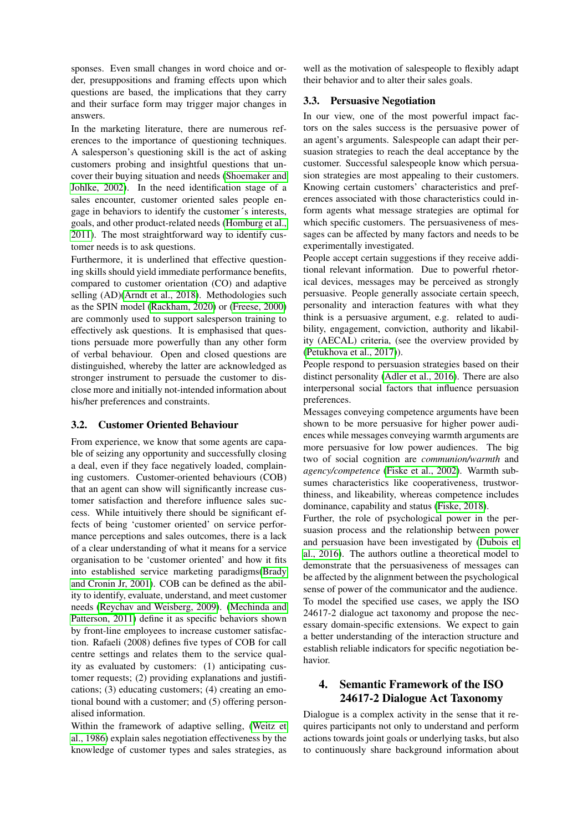sponses. Even small changes in word choice and order, presuppositions and framing effects upon which questions are based, the implications that they carry and their surface form may trigger major changes in answers.

In the marketing literature, there are numerous references to the importance of questioning techniques. A salesperson's questioning skill is the act of asking customers probing and insightful questions that uncover their buying situation and needs [\(Shoemaker and](#page-9-3) [Johlke, 2002\)](#page-9-3). In the need identification stage of a sales encounter, customer oriented sales people engage in behaviors to identify the customer´s interests, goals, and other product-related needs [\(Homburg et al.,](#page-8-9) [2011\)](#page-8-9). The most straightforward way to identify customer needs is to ask questions.

Furthermore, it is underlined that effective questioning skills should yield immediate performance benefits, compared to customer orientation (CO) and adaptive selling (AD)[\(Arndt et al., 2018\)](#page-7-4). Methodologies such as the SPIN model [\(Rackham, 2020\)](#page-8-10) or [\(Freese, 2000\)](#page-7-2) are commonly used to support salesperson training to effectively ask questions. It is emphasised that questions persuade more powerfully than any other form of verbal behaviour. Open and closed questions are distinguished, whereby the latter are acknowledged as stronger instrument to persuade the customer to disclose more and initially not-intended information about his/her preferences and constraints.

#### 3.2. Customer Oriented Behaviour

From experience, we know that some agents are capable of seizing any opportunity and successfully closing a deal, even if they face negatively loaded, complaining customers. Customer-oriented behaviours (COB) that an agent can show will significantly increase customer satisfaction and therefore influence sales success. While intuitively there should be significant effects of being 'customer oriented' on service performance perceptions and sales outcomes, there is a lack of a clear understanding of what it means for a service organisation to be 'customer oriented' and how it fits into established service marketing paradigms[\(Brady](#page-7-5) [and Cronin Jr, 2001\)](#page-7-5). COB can be defined as the ability to identify, evaluate, understand, and meet customer needs [\(Reychav and Weisberg, 2009\)](#page-8-11). [\(Mechinda and](#page-8-12) [Patterson, 2011\)](#page-8-12) define it as specific behaviors shown by front-line employees to increase customer satisfaction. Rafaeli (2008) defines five types of COB for call centre settings and relates them to the service quality as evaluated by customers: (1) anticipating customer requests; (2) providing explanations and justifications; (3) educating customers; (4) creating an emotional bound with a customer; and (5) offering personalised information.

Within the framework of adaptive selling, [\(Weitz et](#page-9-4) [al., 1986\)](#page-9-4) explain sales negotiation effectiveness by the knowledge of customer types and sales strategies, as

well as the motivation of salespeople to flexibly adapt their behavior and to alter their sales goals.

#### 3.3. Persuasive Negotiation

In our view, one of the most powerful impact factors on the sales success is the persuasive power of an agent's arguments. Salespeople can adapt their persuasion strategies to reach the deal acceptance by the customer. Successful salespeople know which persuasion strategies are most appealing to their customers. Knowing certain customers' characteristics and preferences associated with those characteristics could inform agents what message strategies are optimal for which specific customers. The persuasiveness of messages can be affected by many factors and needs to be experimentally investigated.

People accept certain suggestions if they receive additional relevant information. Due to powerful rhetorical devices, messages may be perceived as strongly persuasive. People generally associate certain speech, personality and interaction features with what they think is a persuasive argument, e.g. related to audibility, engagement, conviction, authority and likability (AECAL) criteria, (see the overview provided by [\(Petukhova et al., 2017\)](#page-8-13)).

People respond to persuasion strategies based on their distinct personality [\(Adler et al., 2016\)](#page-7-6). There are also interpersonal social factors that influence persuasion preferences.

Messages conveying competence arguments have been shown to be more persuasive for higher power audiences while messages conveying warmth arguments are more persuasive for low power audiences. The big two of social cognition are *communion/warmth* and *agency/competence* [\(Fiske et al., 2002\)](#page-7-7). Warmth subsumes characteristics like cooperativeness, trustworthiness, and likeability, whereas competence includes dominance, capability and status [\(Fiske, 2018\)](#page-7-8).

Further, the role of psychological power in the persuasion process and the relationship between power and persuasion have been investigated by [\(Dubois et](#page-7-9) [al., 2016\)](#page-7-9). The authors outline a theoretical model to demonstrate that the persuasiveness of messages can be affected by the alignment between the psychological sense of power of the communicator and the audience. To model the specified use cases, we apply the ISO 24617-2 dialogue act taxonomy and propose the necessary domain-specific extensions. We expect to gain a better understanding of the interaction structure and establish reliable indicators for specific negotiation behavior.

# <span id="page-2-0"></span>4. Semantic Framework of the ISO 24617-2 Dialogue Act Taxonomy

Dialogue is a complex activity in the sense that it requires participants not only to understand and perform actions towards joint goals or underlying tasks, but also to continuously share background information about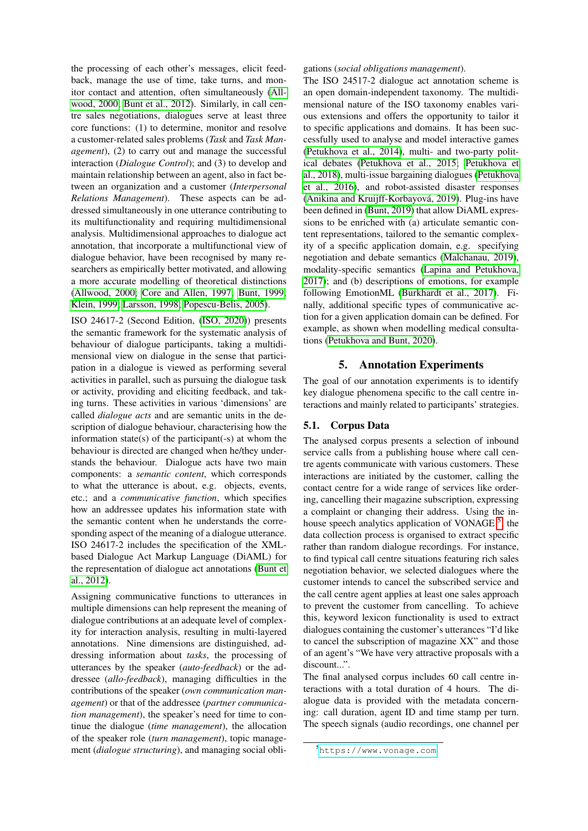the processing of each other's messages, elicit feedback, manage the use of time, take turns, and monitor contact and attention, often simultaneously [\(All](#page-7-10)[wood, 2000;](#page-7-10) [Bunt et al., 2012\)](#page-7-11). Similarly, in call centre sales negotiations, dialogues serve at least three core functions: (1) to determine, monitor and resolve a customer-related sales problems (*Task* and *Task Management*), (2) to carry out and manage the successful interaction (*Dialogue Control*); and (3) to develop and maintain relationship between an agent, also in fact between an organization and a customer (*Interpersonal Relations Management*). These aspects can be addressed simultaneously in one utterance contributing to its multifunctionality and requiring multidimensional analysis. Multidimensional approaches to dialogue act annotation, that incorporate a multifunctional view of dialogue behavior, have been recognised by many researchers as empirically better motivated, and allowing a more accurate modelling of theoretical distinctions [\(Allwood, 2000;](#page-7-10) [Core and Allen, 1997;](#page-7-12) [Bunt, 1999;](#page-7-13) [Klein, 1999;](#page-8-14) [Larsson, 1998;](#page-8-15) [Popescu-Belis, 2005\)](#page-8-16).

ISO 24617-2 (Second Edition, [\(ISO, 2020\)](#page-8-0)) presents the semantic framework for the systematic analysis of behaviour of dialogue participants, taking a multidimensional view on dialogue in the sense that participation in a dialogue is viewed as performing several activities in parallel, such as pursuing the dialogue task or activity, providing and eliciting feedback, and taking turns. These activities in various 'dimensions' are called *dialogue acts* and are semantic units in the description of dialogue behaviour, characterising how the information state(s) of the participant(-s) at whom the behaviour is directed are changed when he/they understands the behaviour. Dialogue acts have two main components: a *semantic content*, which corresponds to what the utterance is about, e.g. objects, events, etc.; and a *communicative function*, which specifies how an addressee updates his information state with the semantic content when he understands the corresponding aspect of the meaning of a dialogue utterance. ISO 24617-2 includes the specification of the XMLbased Dialogue Act Markup Language (DiAML) for the representation of dialogue act annotations [\(Bunt et](#page-7-11) [al., 2012\)](#page-7-11).

Assigning communicative functions to utterances in multiple dimensions can help represent the meaning of dialogue contributions at an adequate level of complexity for interaction analysis, resulting in multi-layered annotations. Nine dimensions are distinguished, addressing information about *tasks*, the processing of utterances by the speaker (*auto-feedback*) or the addressee (*allo-feedback*), managing difficulties in the contributions of the speaker (*own communication management*) or that of the addressee (*partner communication management*), the speaker's need for time to continue the dialogue (*time management*), the allocation of the speaker role (*turn management*), topic management (*dialogue structuring*), and managing social obligations (*social obligations management*).

The ISO 24517-2 dialogue act annotation scheme is an open domain-independent taxonomy. The multidimensional nature of the ISO taxonomy enables various extensions and offers the opportunity to tailor it to specific applications and domains. It has been successfully used to analyse and model interactive games [\(Petukhova et al., 2014\)](#page-8-17), multi- and two-party political debates [\(Petukhova et al., 2015;](#page-8-18) [Petukhova et](#page-8-19) [al., 2018\)](#page-8-19), multi-issue bargaining dialogues [\(Petukhova](#page-8-20) [et al., 2016\)](#page-8-20), and robot-assisted disaster responses (Anikina and Kruijff-Korbayová, 2019). Plug-ins have been defined in [\(Bunt, 2019\)](#page-7-15) that allow DiAML expressions to be enriched with (a) articulate semantic content representations, tailored to the semantic complexity of a specific application domain, e.g. specifying negotiation and debate semantics [\(Malchanau, 2019\)](#page-8-21), modality-specific semantics [\(Lapina and Petukhova,](#page-8-22) [2017\)](#page-8-22); and (b) descriptions of emotions, for example following EmotionML [\(Burkhardt et al., 2017\)](#page-7-16). Finally, additional specific types of communicative action for a given application domain can be defined. For example, as shown when modelling medical consultations [\(Petukhova and Bunt, 2020\)](#page-8-23).

#### 5. Annotation Experiments

<span id="page-3-0"></span>The goal of our annotation experiments is to identify key dialogue phenomena specific to the call centre interactions and mainly related to participants' strategies.

#### 5.1. Corpus Data

The analysed corpus presents a selection of inbound service calls from a publishing house where call centre agents communicate with various customers. These interactions are initiated by the customer, calling the contact centre for a wide range of services like ordering, cancelling their magazine subscription, expressing a complaint or changing their address. Using the inhouse speech analytics application of VONAGE  $<sup>5</sup>$  $<sup>5</sup>$  $<sup>5</sup>$ , the</sup> data collection process is organised to extract specific rather than random dialogue recordings. For instance, to find typical call centre situations featuring rich sales negotiation behavior, we selected dialogues where the customer intends to cancel the subscribed service and the call centre agent applies at least one sales approach to prevent the customer from cancelling. To achieve this, keyword lexicon functionality is used to extract dialogues containing the customer's utterances "I'd like to cancel the subscription of magazine XX" and those of an agent's "We have very attractive proposals with a discount...".

The final analysed corpus includes 60 call centre interactions with a total duration of 4 hours. The dialogue data is provided with the metadata concerning: call duration, agent ID and time stamp per turn. The speech signals (audio recordings, one channel per

<span id="page-3-1"></span><sup>5</sup><https://www.vonage.com>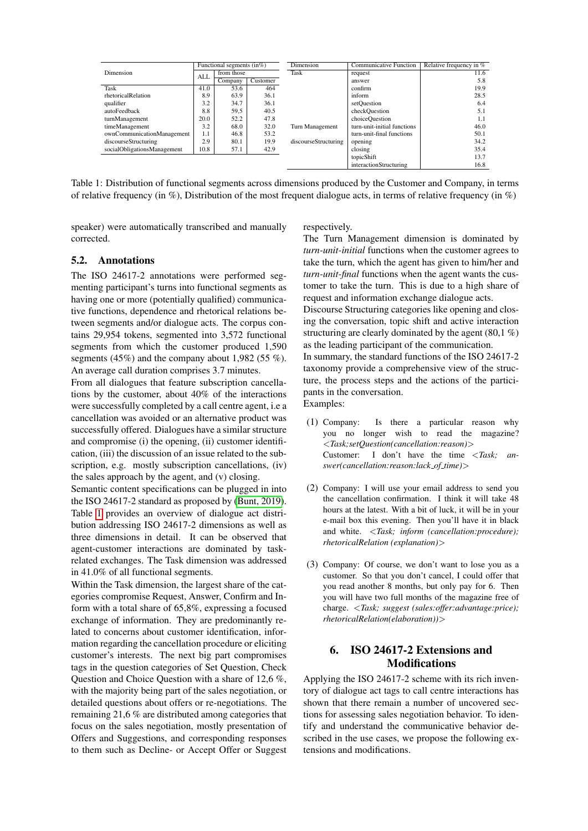|                             |      | Functional segments $(in\%)$ |          | Dimension            | <b>Communicative Function</b> | Relative frequency in % |
|-----------------------------|------|------------------------------|----------|----------------------|-------------------------------|-------------------------|
| Dimension                   | ALL  | from those                   |          | Task                 | request                       | 11.6                    |
|                             |      | Company                      | Customer |                      | answer                        | 5.8                     |
| <b>Task</b>                 | 41.0 | 53.6                         | 464      |                      | confirm                       | 19.9                    |
| rhetoricalRelation          | 8.9  | 63.9                         | 36.1     |                      | inform                        | 28.5                    |
| qualifier                   | 3.2  | 34.7                         | 36.1     |                      | setOuestion                   | 6.4                     |
| autoFeedback                | 8.8  | 59,5                         | 40.5     |                      | checkQuestion                 | 5.1                     |
| turnManagement              | 20.0 | 52.2                         | 47.8     |                      | choiceOuestion                | 1.1                     |
| timeManagement              | 3.2  | 68.0                         | 32.0     | Turn Management      | turn-unit-initial functions   | 46.0                    |
| ownCommunicationManagement  | 1.1  | 46.8                         | 53.2     |                      | turn-unit-final functions     | 50.1                    |
| discourseStructuring        | 2.9  | 80.1                         | 19.9     | discourseStructuring | opening                       | 34.2                    |
| socialObligationsManagement | 10.8 | 57.1                         | 42.9     |                      | closing                       | 35.4                    |
|                             |      |                              |          |                      | topicShift                    | 13.7                    |
|                             |      |                              |          |                      | interactionStructuring        | 16.8                    |

<span id="page-4-1"></span>Table 1: Distribution of functional segments across dimensions produced by the Customer and Company, in terms of relative frequency (in  $\%$ ), Distribution of the most frequent dialogue acts, in terms of relative frequency (in  $\%$ )

speaker) were automatically transcribed and manually corrected.

#### 5.2. Annotations

The ISO 24617-2 annotations were performed segmenting participant's turns into functional segments as having one or more (potentially qualified) communicative functions, dependence and rhetorical relations between segments and/or dialogue acts. The corpus contains 29,954 tokens, segmented into 3,572 functional segments from which the customer produced 1,590 segments (45%) and the company about 1,982 (55 %). An average call duration comprises 3.7 minutes.

From all dialogues that feature subscription cancellations by the customer, about 40% of the interactions were successfully completed by a call centre agent, i.e a cancellation was avoided or an alternative product was successfully offered. Dialogues have a similar structure and compromise (i) the opening, (ii) customer identification, (iii) the discussion of an issue related to the subscription, e.g. mostly subscription cancellations, (iv) the sales approach by the agent, and (v) closing.

Semantic content specifications can be plugged in into the ISO 24617-2 standard as proposed by [\(Bunt, 2019\)](#page-7-15). Table [1](#page-4-1) provides an overview of dialogue act distribution addressing ISO 24617-2 dimensions as well as three dimensions in detail. It can be observed that agent-customer interactions are dominated by taskrelated exchanges. The Task dimension was addressed in 41.0% of all functional segments.

Within the Task dimension, the largest share of the categories compromise Request, Answer, Confirm and Inform with a total share of 65,8%, expressing a focused exchange of information. They are predominantly related to concerns about customer identification, information regarding the cancellation procedure or eliciting customer's interests. The next big part compromises tags in the question categories of Set Question, Check Question and Choice Question with a share of 12,6 %, with the majority being part of the sales negotiation, or detailed questions about offers or re-negotiations. The remaining 21,6 % are distributed among categories that focus on the sales negotiation, mostly presentation of Offers and Suggestions, and corresponding responses to them such as Decline- or Accept Offer or Suggest respectively.

The Turn Management dimension is dominated by *turn-unit-initial* functions when the customer agrees to take the turn, which the agent has given to him/her and *turn-unit-final* functions when the agent wants the customer to take the turn. This is due to a high share of request and information exchange dialogue acts.

Discourse Structuring categories like opening and closing the conversation, topic shift and active interaction structuring are clearly dominated by the agent (80,1 %) as the leading participant of the communication.

In summary, the standard functions of the ISO 24617-2 taxonomy provide a comprehensive view of the structure, the process steps and the actions of the participants in the conversation.

<span id="page-4-2"></span>Examples:

- (1) Company: Is there a particular reason why you no longer wish to read the magazine? <*Task;setQuestion(cancellation:reason)*> Customer: I don't have the time <*Task; answer(cancellation:reason:lack of time)*>
- <span id="page-4-3"></span>(2) Company: I will use your email address to send you the cancellation confirmation. I think it will take 48 hours at the latest. With a bit of luck, it will be in your e-mail box this evening. Then you'll have it in black and white. <*Task; inform (cancellation:procedure); rhetoricalRelation (explanation)*>
- <span id="page-4-4"></span>(3) Company: Of course, we don't want to lose you as a customer. So that you don't cancel, I could offer that you read another 8 months, but only pay for 6. Then you will have two full months of the magazine free of charge. <*Task; suggest (sales:offer:advantage:price); rhetoricalRelation(elaboration))*>

# <span id="page-4-0"></span>6. ISO 24617-2 Extensions and Modifications

Applying the ISO 24617-2 scheme with its rich inventory of dialogue act tags to call centre interactions has shown that there remain a number of uncovered sections for assessing sales negotiation behavior. To identify and understand the communicative behavior described in the use cases, we propose the following extensions and modifications.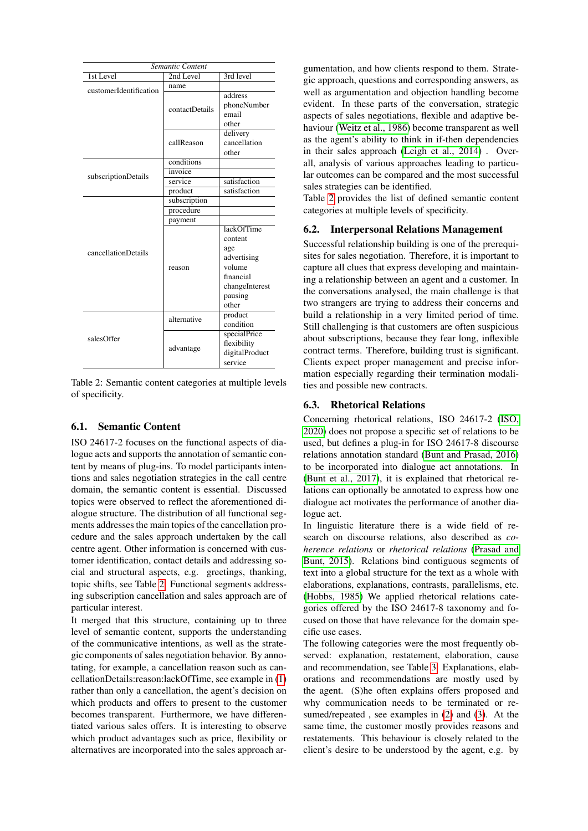| Semantic Content       |                |                                                                                                                 |  |  |  |  |
|------------------------|----------------|-----------------------------------------------------------------------------------------------------------------|--|--|--|--|
| 1st Level              | 2nd Level      | 3rd level                                                                                                       |  |  |  |  |
| customerIdentification | name           |                                                                                                                 |  |  |  |  |
|                        | contactDetails | address<br>phoneNumber<br>email<br>other                                                                        |  |  |  |  |
|                        | callReason     | delivery<br>cancellation<br>other                                                                               |  |  |  |  |
|                        | conditions     |                                                                                                                 |  |  |  |  |
| subscriptionDetails    | invoice        |                                                                                                                 |  |  |  |  |
|                        | service        | satisfaction                                                                                                    |  |  |  |  |
|                        | product        | satisfaction                                                                                                    |  |  |  |  |
|                        | subscription   |                                                                                                                 |  |  |  |  |
|                        | procedure      |                                                                                                                 |  |  |  |  |
|                        | payment        |                                                                                                                 |  |  |  |  |
| cancellationDetails    | reason         | <b>lackOfTime</b><br>content<br>age<br>advertising<br>volume<br>financial<br>changeInterest<br>pausing<br>other |  |  |  |  |
|                        | alternative    | product<br>condition                                                                                            |  |  |  |  |
| salesOffer             | advantage      | specialPrice<br>flexibility<br>digitalProduct<br>service                                                        |  |  |  |  |

<span id="page-5-0"></span>Table 2: Semantic content categories at multiple levels of specificity.

# 6.1. Semantic Content

ISO 24617-2 focuses on the functional aspects of dialogue acts and supports the annotation of semantic content by means of plug-ins. To model participants intentions and sales negotiation strategies in the call centre domain, the semantic content is essential. Discussed topics were observed to reflect the aforementioned dialogue structure. The distribution of all functional segments addresses the main topics of the cancellation procedure and the sales approach undertaken by the call centre agent. Other information is concerned with customer identification, contact details and addressing social and structural aspects, e.g. greetings, thanking, topic shifts, see Table [2.](#page-5-0) Functional segments addressing subscription cancellation and sales approach are of particular interest.

It merged that this structure, containing up to three level of semantic content, supports the understanding of the communicative intentions, as well as the strategic components of sales negotiation behavior. By annotating, for example, a cancellation reason such as cancellationDetails:reason:lackOfTime, see example in [\(1\)](#page-4-2) rather than only a cancellation, the agent's decision on which products and offers to present to the customer becomes transparent. Furthermore, we have differentiated various sales offers. It is interesting to observe which product advantages such as price, flexibility or alternatives are incorporated into the sales approach ar-

gumentation, and how clients respond to them. Strategic approach, questions and corresponding answers, as well as argumentation and objection handling become evident. In these parts of the conversation, strategic aspects of sales negotiations, flexible and adaptive behaviour [\(Weitz et al., 1986\)](#page-9-4) become transparent as well as the agent's ability to think in if-then dependencies in their sales approach [\(Leigh et al., 2014\)](#page-8-2) . Overall, analysis of various approaches leading to particular outcomes can be compared and the most successful sales strategies can be identified.

Table [2](#page-5-0) provides the list of defined semantic content categories at multiple levels of specificity.

#### 6.2. Interpersonal Relations Management

Successful relationship building is one of the prerequisites for sales negotiation. Therefore, it is important to capture all clues that express developing and maintaining a relationship between an agent and a customer. In the conversations analysed, the main challenge is that two strangers are trying to address their concerns and build a relationship in a very limited period of time. Still challenging is that customers are often suspicious about subscriptions, because they fear long, inflexible contract terms. Therefore, building trust is significant. Clients expect proper management and precise information especially regarding their termination modalities and possible new contracts.

# 6.3. Rhetorical Relations

Concerning rhetorical relations, ISO 24617-2 [\(ISO,](#page-8-0) [2020\)](#page-8-0) does not propose a specific set of relations to be used, but defines a plug-in for ISO 24617-8 discourse relations annotation standard [\(Bunt and Prasad, 2016\)](#page-7-17) to be incorporated into dialogue act annotations. In [\(Bunt et al., 2017\)](#page-7-18), it is explained that rhetorical relations can optionally be annotated to express how one dialogue act motivates the performance of another dialogue act.

In linguistic literature there is a wide field of research on discourse relations, also described as *coherence relations* or *rhetorical relations* [\(Prasad and](#page-8-24) [Bunt, 2015\)](#page-8-24). Relations bind contiguous segments of text into a global structure for the text as a whole with elaborations, explanations, contrasts, parallelisms, etc. [\(Hobbs, 1985\)](#page-8-25) We applied rhetorical relations categories offered by the ISO 24617-8 taxonomy and focused on those that have relevance for the domain specific use cases.

The following categories were the most frequently observed: explanation, restatement, elaboration, cause and recommendation, see Table [3.](#page-6-1) Explanations, elaborations and recommendations are mostly used by the agent. (S)he often explains offers proposed and why communication needs to be terminated or resumed/repeated , see examples in [\(2\)](#page-4-3) and [\(3\)](#page-4-4). At the same time, the customer mostly provides reasons and restatements. This behaviour is closely related to the client's desire to be understood by the agent, e.g. by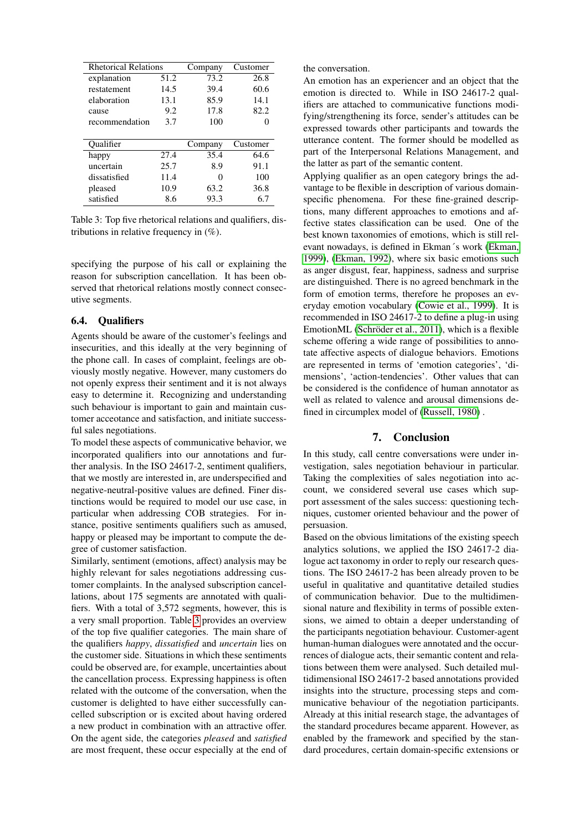| <b>Rhetorical Relations</b> |      | Company | Customer |
|-----------------------------|------|---------|----------|
| explanation                 | 51.2 | 73.2    | 26.8     |
| restatement                 | 14.5 | 39.4    | 60.6     |
| elaboration                 | 13.1 | 85.9    | 14.1     |
| cause                       | 9.2  | 17.8    | 82.2     |
| recommendation              | 3.7  | 100     |          |
|                             |      |         |          |
|                             |      |         |          |
| Oualifier                   |      | Company | Customer |
| happy                       | 27.4 | 35.4    | 64.6     |
| uncertain                   | 25.7 | 8.9     | 91.1     |
| dissatisfied                | 11.4 | 0       | 100      |
| pleased                     | 10.9 | 63.2    | 36.8     |

<span id="page-6-1"></span>Table 3: Top five rhetorical relations and qualifiers, distributions in relative frequency in (%).

specifying the purpose of his call or explaining the reason for subscription cancellation. It has been observed that rhetorical relations mostly connect consecutive segments.

#### 6.4. Qualifiers

Agents should be aware of the customer's feelings and insecurities, and this ideally at the very beginning of the phone call. In cases of complaint, feelings are obviously mostly negative. However, many customers do not openly express their sentiment and it is not always easy to determine it. Recognizing and understanding such behaviour is important to gain and maintain customer acceotance and satisfaction, and initiate successful sales negotiations.

To model these aspects of communicative behavior, we incorporated qualifiers into our annotations and further analysis. In the ISO 24617-2, sentiment qualifiers, that we mostly are interested in, are underspecified and negative-neutral-positive values are defined. Finer distinctions would be required to model our use case, in particular when addressing COB strategies. For instance, positive sentiments qualifiers such as amused, happy or pleased may be important to compute the degree of customer satisfaction.

Similarly, sentiment (emotions, affect) analysis may be highly relevant for sales negotiations addressing customer complaints. In the analysed subscription cancellations, about 175 segments are annotated with qualifiers. With a total of 3,572 segments, however, this is a very small proportion. Table [3](#page-6-1) provides an overview of the top five qualifier categories. The main share of the qualifiers *happy*, *dissatisfied* and *uncertain* lies on the customer side. Situations in which these sentiments could be observed are, for example, uncertainties about the cancellation process. Expressing happiness is often related with the outcome of the conversation, when the customer is delighted to have either successfully cancelled subscription or is excited about having ordered a new product in combination with an attractive offer. On the agent side, the categories *pleased* and *satisfied* are most frequent, these occur especially at the end of the conversation.

An emotion has an experiencer and an object that the emotion is directed to. While in ISO 24617-2 qualifiers are attached to communicative functions modifying/strengthening its force, sender's attitudes can be expressed towards other participants and towards the utterance content. The former should be modelled as part of the Interpersonal Relations Management, and the latter as part of the semantic content.

Applying qualifier as an open category brings the advantage to be flexible in description of various domainspecific phenomena. For these fine-grained descriptions, many different approaches to emotions and affective states classification can be used. One of the best known taxonomies of emotions, which is still relevant nowadays, is defined in Ekman´s work [\(Ekman,](#page-7-19) [1999\)](#page-7-19), [\(Ekman, 1992\)](#page-7-20), where six basic emotions such as anger disgust, fear, happiness, sadness and surprise are distinguished. There is no agreed benchmark in the form of emotion terms, therefore he proposes an everyday emotion vocabulary [\(Cowie et al., 1999\)](#page-7-21). It is recommended in ISO 24617-2 to define a plug-in using EmotionML (Schröder et al., 2011), which is a flexible scheme offering a wide range of possibilities to annotate affective aspects of dialogue behaviors. Emotions are represented in terms of 'emotion categories', 'dimensions', 'action-tendencies'. Other values that can be considered is the confidence of human annotator as well as related to valence and arousal dimensions defined in circumplex model of [\(Russell, 1980\)](#page-9-6) .

#### 7. Conclusion

<span id="page-6-0"></span>In this study, call centre conversations were under investigation, sales negotiation behaviour in particular. Taking the complexities of sales negotiation into account, we considered several use cases which support assessment of the sales success: questioning techniques, customer oriented behaviour and the power of persuasion.

Based on the obvious limitations of the existing speech analytics solutions, we applied the ISO 24617-2 dialogue act taxonomy in order to reply our research questions. The ISO 24617-2 has been already proven to be useful in qualitative and quantitative detailed studies of communication behavior. Due to the multidimensional nature and flexibility in terms of possible extensions, we aimed to obtain a deeper understanding of the participants negotiation behaviour. Customer-agent human-human dialogues were annotated and the occurrences of dialogue acts, their semantic content and relations between them were analysed. Such detailed multidimensional ISO 24617-2 based annotations provided insights into the structure, processing steps and communicative behaviour of the negotiation participants. Already at this initial research stage, the advantages of the standard procedures became apparent. However, as enabled by the framework and specified by the standard procedures, certain domain-specific extensions or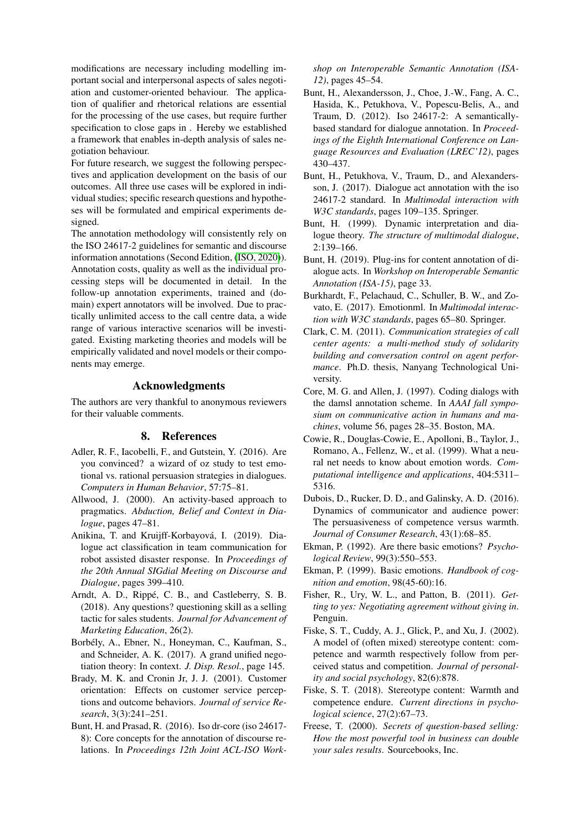modifications are necessary including modelling important social and interpersonal aspects of sales negotiation and customer-oriented behaviour. The application of qualifier and rhetorical relations are essential for the processing of the use cases, but require further specification to close gaps in . Hereby we established a framework that enables in-depth analysis of sales negotiation behaviour.

For future research, we suggest the following perspectives and application development on the basis of our outcomes. All three use cases will be explored in individual studies; specific research questions and hypotheses will be formulated and empirical experiments designed.

The annotation methodology will consistently rely on the ISO 24617-2 guidelines for semantic and discourse information annotations (Second Edition, [\(ISO, 2020\)](#page-8-0)). Annotation costs, quality as well as the individual processing steps will be documented in detail. In the follow-up annotation experiments, trained and (domain) expert annotators will be involved. Due to practically unlimited access to the call centre data, a wide range of various interactive scenarios will be investigated. Existing marketing theories and models will be empirically validated and novel models or their components may emerge.

# Acknowledgments

The authors are very thankful to anonymous reviewers for their valuable comments.

# 8. References

- <span id="page-7-6"></span>Adler, R. F., Iacobelli, F., and Gutstein, Y. (2016). Are you convinced? a wizard of oz study to test emotional vs. rational persuasion strategies in dialogues. *Computers in Human Behavior*, 57:75–81.
- <span id="page-7-10"></span>Allwood, J. (2000). An activity-based approach to pragmatics. *Abduction, Belief and Context in Dialogue*, pages 47–81.
- <span id="page-7-14"></span>Anikina, T. and Kruijff-Korbayová, I. (2019). Dialogue act classification in team communication for robot assisted disaster response. In *Proceedings of the 20th Annual SIGdial Meeting on Discourse and Dialogue*, pages 399–410.
- <span id="page-7-4"></span>Arndt, A. D., Rippé, C. B., and Castleberry, S. B. (2018). Any questions? questioning skill as a selling tactic for sales students. *Journal for Advancement of Marketing Education*, 26(2).
- <span id="page-7-1"></span>Borbely, A., Ebner, N., Honeyman, C., Kaufman, S., ´ and Schneider, A. K. (2017). A grand unified negotiation theory: In context. *J. Disp. Resol.*, page 145.
- <span id="page-7-5"></span>Brady, M. K. and Cronin Jr, J. J. (2001). Customer orientation: Effects on customer service perceptions and outcome behaviors. *Journal of service Research*, 3(3):241–251.
- <span id="page-7-17"></span>Bunt, H. and Prasad, R. (2016). Iso dr-core (iso 24617- 8): Core concepts for the annotation of discourse relations. In *Proceedings 12th Joint ACL-ISO Work-*

*shop on Interoperable Semantic Annotation (ISA-12)*, pages 45–54.

- <span id="page-7-11"></span>Bunt, H., Alexandersson, J., Choe, J.-W., Fang, A. C., Hasida, K., Petukhova, V., Popescu-Belis, A., and Traum, D. (2012). Iso 24617-2: A semanticallybased standard for dialogue annotation. In *Proceedings of the Eighth International Conference on Language Resources and Evaluation (LREC'12)*, pages 430–437.
- <span id="page-7-18"></span>Bunt, H., Petukhova, V., Traum, D., and Alexandersson, J. (2017). Dialogue act annotation with the iso 24617-2 standard. In *Multimodal interaction with W3C standards*, pages 109–135. Springer.
- <span id="page-7-13"></span>Bunt, H. (1999). Dynamic interpretation and dialogue theory. *The structure of multimodal dialogue*, 2:139–166.
- <span id="page-7-15"></span>Bunt, H. (2019). Plug-ins for content annotation of dialogue acts. In *Workshop on Interoperable Semantic Annotation (ISA-15)*, page 33.
- <span id="page-7-16"></span>Burkhardt, F., Pelachaud, C., Schuller, B. W., and Zovato, E. (2017). Emotionml. In *Multimodal interaction with W3C standards*, pages 65–80. Springer.
- <span id="page-7-3"></span>Clark, C. M. (2011). *Communication strategies of call center agents: a multi-method study of solidarity building and conversation control on agent performance*. Ph.D. thesis, Nanyang Technological University.
- <span id="page-7-12"></span>Core, M. G. and Allen, J. (1997). Coding dialogs with the damsl annotation scheme. In *AAAI fall symposium on communicative action in humans and machines*, volume 56, pages 28–35. Boston, MA.
- <span id="page-7-21"></span>Cowie, R., Douglas-Cowie, E., Apolloni, B., Taylor, J., Romano, A., Fellenz, W., et al. (1999). What a neural net needs to know about emotion words. *Computational intelligence and applications*, 404:5311– 5316.
- <span id="page-7-9"></span>Dubois, D., Rucker, D. D., and Galinsky, A. D. (2016). Dynamics of communicator and audience power: The persuasiveness of competence versus warmth. *Journal of Consumer Research*, 43(1):68–85.
- <span id="page-7-20"></span>Ekman, P. (1992). Are there basic emotions? *Psychological Review*, 99(3):550–553.
- <span id="page-7-19"></span>Ekman, P. (1999). Basic emotions. *Handbook of cognition and emotion*, 98(45-60):16.
- <span id="page-7-0"></span>Fisher, R., Ury, W. L., and Patton, B. (2011). *Getting to yes: Negotiating agreement without giving in*. Penguin.
- <span id="page-7-7"></span>Fiske, S. T., Cuddy, A. J., Glick, P., and Xu, J. (2002). A model of (often mixed) stereotype content: competence and warmth respectively follow from perceived status and competition. *Journal of personality and social psychology*, 82(6):878.
- <span id="page-7-8"></span>Fiske, S. T. (2018). Stereotype content: Warmth and competence endure. *Current directions in psychological science*, 27(2):67–73.
- <span id="page-7-2"></span>Freese, T. (2000). *Secrets of question-based selling: How the most powerful tool in business can double your sales results*. Sourcebooks, Inc.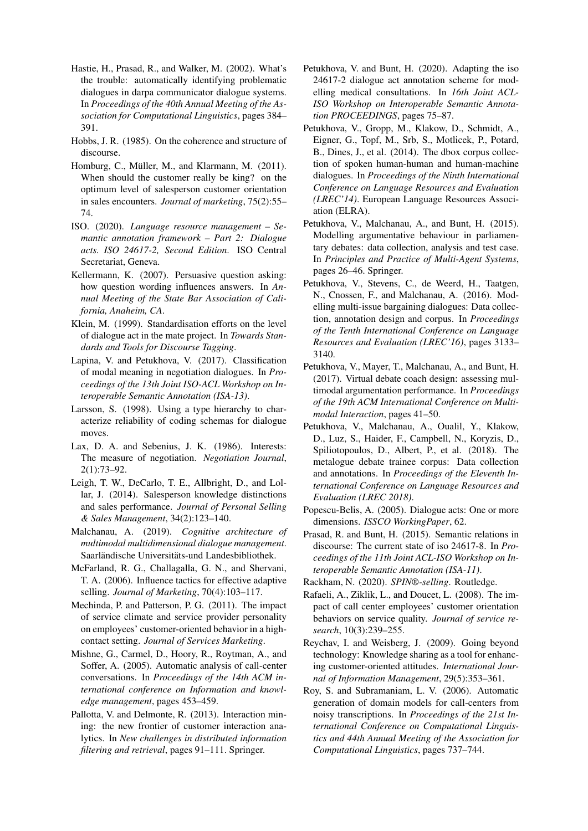- <span id="page-8-5"></span>Hastie, H., Prasad, R., and Walker, M. (2002). What's the trouble: automatically identifying problematic dialogues in darpa communicator dialogue systems. In *Proceedings of the 40th Annual Meeting of the Association for Computational Linguistics*, pages 384– 391.
- <span id="page-8-25"></span>Hobbs, J. R. (1985). On the coherence and structure of discourse.
- <span id="page-8-9"></span>Homburg, C., Müller, M., and Klarmann, M. (2011). When should the customer really be king? on the optimum level of salesperson customer orientation in sales encounters. *Journal of marketing*, 75(2):55– 74.
- <span id="page-8-0"></span>ISO. (2020). *Language resource management – Semantic annotation framework – Part 2: Dialogue acts. ISO 24617-2, Second Edition*. ISO Central Secretariat, Geneva.
- <span id="page-8-8"></span>Kellermann, K. (2007). Persuasive question asking: how question wording influences answers. In *Annual Meeting of the State Bar Association of California, Anaheim, CA*.
- <span id="page-8-14"></span>Klein, M. (1999). Standardisation efforts on the level of dialogue act in the mate project. In *Towards Standards and Tools for Discourse Tagging*.
- <span id="page-8-22"></span>Lapina, V. and Petukhova, V. (2017). Classification of modal meaning in negotiation dialogues. In *Proceedings of the 13th Joint ISO-ACL Workshop on Interoperable Semantic Annotation (ISA-13)*.
- <span id="page-8-15"></span>Larsson, S. (1998). Using a type hierarchy to characterize reliability of coding schemas for dialogue moves.
- <span id="page-8-1"></span>Lax, D. A. and Sebenius, J. K. (1986). Interests: The measure of negotiation. *Negotiation Journal*, 2(1):73–92.
- <span id="page-8-2"></span>Leigh, T. W., DeCarlo, T. E., Allbright, D., and Lollar, J. (2014). Salesperson knowledge distinctions and sales performance. *Journal of Personal Selling & Sales Management*, 34(2):123–140.
- <span id="page-8-21"></span>Malchanau, A. (2019). *Cognitive architecture of multimodal multidimensional dialogue management*. Saarländische Universitäts-und Landesbibliothek.
- <span id="page-8-3"></span>McFarland, R. G., Challagalla, G. N., and Shervani, T. A. (2006). Influence tactics for effective adaptive selling. *Journal of Marketing*, 70(4):103–117.
- <span id="page-8-12"></span>Mechinda, P. and Patterson, P. G. (2011). The impact of service climate and service provider personality on employees' customer-oriented behavior in a highcontact setting. *Journal of Services Marketing*.
- <span id="page-8-4"></span>Mishne, G., Carmel, D., Hoory, R., Roytman, A., and Soffer, A. (2005). Automatic analysis of call-center conversations. In *Proceedings of the 14th ACM international conference on Information and knowledge management*, pages 453–459.
- <span id="page-8-7"></span>Pallotta, V. and Delmonte, R. (2013). Interaction mining: the new frontier of customer interaction analytics. In *New challenges in distributed information filtering and retrieval*, pages 91–111. Springer.
- <span id="page-8-23"></span>Petukhova, V. and Bunt, H. (2020). Adapting the iso 24617-2 dialogue act annotation scheme for modelling medical consultations. In *16th Joint ACL-ISO Workshop on Interoperable Semantic Annotation PROCEEDINGS*, pages 75–87.
- <span id="page-8-17"></span>Petukhova, V., Gropp, M., Klakow, D., Schmidt, A., Eigner, G., Topf, M., Srb, S., Motlicek, P., Potard, B., Dines, J., et al. (2014). The dbox corpus collection of spoken human-human and human-machine dialogues. In *Proceedings of the Ninth International Conference on Language Resources and Evaluation (LREC'14)*. European Language Resources Association (ELRA).
- <span id="page-8-18"></span>Petukhova, V., Malchanau, A., and Bunt, H. (2015). Modelling argumentative behaviour in parliamentary debates: data collection, analysis and test case. In *Principles and Practice of Multi-Agent Systems*, pages 26–46. Springer.
- <span id="page-8-20"></span>Petukhova, V., Stevens, C., de Weerd, H., Taatgen, N., Cnossen, F., and Malchanau, A. (2016). Modelling multi-issue bargaining dialogues: Data collection, annotation design and corpus. In *Proceedings of the Tenth International Conference on Language Resources and Evaluation (LREC'16)*, pages 3133– 3140.
- <span id="page-8-13"></span>Petukhova, V., Mayer, T., Malchanau, A., and Bunt, H. (2017). Virtual debate coach design: assessing multimodal argumentation performance. In *Proceedings of the 19th ACM International Conference on Multimodal Interaction*, pages 41–50.
- <span id="page-8-19"></span>Petukhova, V., Malchanau, A., Oualil, Y., Klakow, D., Luz, S., Haider, F., Campbell, N., Koryzis, D., Spiliotopoulos, D., Albert, P., et al. (2018). The metalogue debate trainee corpus: Data collection and annotations. In *Proceedings of the Eleventh International Conference on Language Resources and Evaluation (LREC 2018)*.
- <span id="page-8-16"></span>Popescu-Belis, A. (2005). Dialogue acts: One or more dimensions. *ISSCO WorkingPaper*, 62.
- <span id="page-8-24"></span>Prasad, R. and Bunt, H. (2015). Semantic relations in discourse: The current state of iso 24617-8. In *Proceedings of the 11th Joint ACL-ISO Workshop on Interoperable Semantic Annotation (ISA-11)*.
- <span id="page-8-10"></span>Rackham, N. (2020). *SPIN®-selling*. Routledge.
- Rafaeli, A., Ziklik, L., and Doucet, L. (2008). The impact of call center employees' customer orientation behaviors on service quality. *Journal of service research*, 10(3):239–255.
- <span id="page-8-11"></span>Reychav, I. and Weisberg, J. (2009). Going beyond technology: Knowledge sharing as a tool for enhancing customer-oriented attitudes. *International Journal of Information Management*, 29(5):353–361.
- <span id="page-8-6"></span>Roy, S. and Subramaniam, L. V. (2006). Automatic generation of domain models for call-centers from noisy transcriptions. In *Proceedings of the 21st International Conference on Computational Linguistics and 44th Annual Meeting of the Association for Computational Linguistics*, pages 737–744.